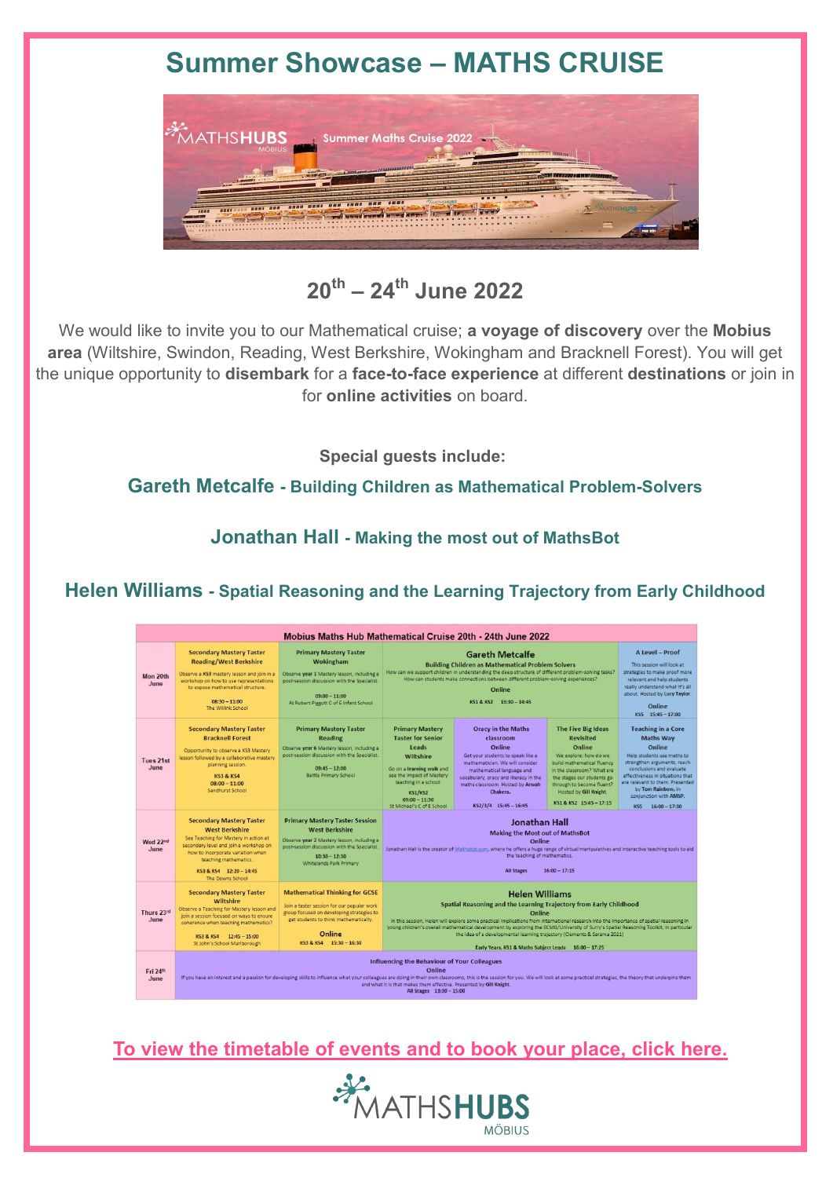## **Summer Showcase – MATHS CRUISE**



### **20th – 24th June 2022**

We would like to invite you to our Mathematical cruise; **a voyage of discovery** over the **Mobius area** (Wiltshire, Swindon, Reading, West Berkshire, Wokingham and Bracknell Forest). You will get the unique opportunity to **disembark** for a **face-to-face experience** at different **destinations** or join in for **online activities** on board.

**Special guests include:**

**Gareth Metcalfe - Building Children as Mathematical Problem-Solvers**

**Jonathan Hall - Making the most out of MathsBot**

#### **Helen Williams - Spatial Reasoning and the Learning Trajectory from Early Childhood**

| Mobius Maths Hub Mathematical Cruise 20th - 24th June 2022 |                                                                                                                                                                                                                                                                                                                                                                                                    |                                                                                                                                                                                                                  |                                                                                                                                                                                                                                                                                                                                                                                                                                                                                                                                |                                                                                                                                                                                                                                                                         |                                                                                                                                                                                                                                                       |                                                                                                                                                                                                                                                                                              |
|------------------------------------------------------------|----------------------------------------------------------------------------------------------------------------------------------------------------------------------------------------------------------------------------------------------------------------------------------------------------------------------------------------------------------------------------------------------------|------------------------------------------------------------------------------------------------------------------------------------------------------------------------------------------------------------------|--------------------------------------------------------------------------------------------------------------------------------------------------------------------------------------------------------------------------------------------------------------------------------------------------------------------------------------------------------------------------------------------------------------------------------------------------------------------------------------------------------------------------------|-------------------------------------------------------------------------------------------------------------------------------------------------------------------------------------------------------------------------------------------------------------------------|-------------------------------------------------------------------------------------------------------------------------------------------------------------------------------------------------------------------------------------------------------|----------------------------------------------------------------------------------------------------------------------------------------------------------------------------------------------------------------------------------------------------------------------------------------------|
| Mon 20th<br>June                                           | <b>Secondary Mastery Taster</b><br><b>Reading/West Berkshire</b><br>Observe a KS3 mastery lesson and join in a<br>workshop on how to use representations<br>to expose mathematical structure.<br>$08:30 - 11:00$<br>The Willink School                                                                                                                                                             | <b>Primary Mastery Taster</b><br>Wokingham<br>Observe year 1 Mastery lesson, including a<br>post-session discussion with the Specialist<br>$09:00 - 11:00$<br>At Robert Piggott C of E Infant School             | <b>Gareth Metcalfe</b><br><b>Building Children as Mathematical Problem Solvers</b><br>How can we support children in understanding the deep structure of different problem-solving tasks?<br>How can students make connections between different problem-solving experiences?<br>Online<br>KS1 & KS2 13:30 - 14:45                                                                                                                                                                                                             |                                                                                                                                                                                                                                                                         |                                                                                                                                                                                                                                                       | A Level - Proof<br>This session will look at<br>strategies to make proof more<br>relevant and help students<br>really understand what it's all<br>about. Hosted by Lucy Taylor.<br>Online<br>KS5 15:45 - 17:00                                                                               |
| Tues 21st<br>June                                          | <b>Secondary Mastery Taster</b><br><b>Bracknell Forest</b><br>Opportunity to observe a KS3 Mastery<br>lesson followed by a collaborative mastery<br>planning session.<br><b>KS3 &amp; KS4</b><br>$08:00 - 11:00$<br>Sandburst School                                                                                                                                                               | <b>Primary Mastery Taster</b><br><b>Reading</b><br>Observe year 6 Mastery lesson, including a<br>post-session discussion with the Specialist.<br>$09:45 - 12:00$<br><b>Battle Primary School</b>                 | <b>Primary Mastery</b><br><b>Taster for Senior</b><br>Leads<br><b>Wiltshire</b><br>Go on a learning walk and<br>see the impact of Mastery<br>teaching in a school.<br><b>KS1/KS2</b><br>$09:00 - 11:30$<br>St Michael's C of E School                                                                                                                                                                                                                                                                                          | <b>Oracy in the Maths</b><br>classroom<br>Online<br>Get your students to speak like a<br>mathematician. We will consider<br>mathematical language and<br>vocabulary, oracy and literacy in the<br>maths classroom. Hosted by Arwah<br>Chakera.<br>KS2/3/4 15:45 - 16:45 | The Five Big Ideas<br><b>Revisited</b><br>Online<br>We explore: how do we<br>build mathematical fluency<br>in the classroom? What are<br>the stages our students go<br>through to become fluent?<br>Hosted by Gill Knight.<br>KS1 & KS2 15:45 - 17:15 | <b>Teaching in a Core</b><br><b>Maths Way</b><br>Online<br>Help students use maths to<br>strengthen arguments, reach<br>conclusions and evaluate<br>effectiveness in situations that<br>are relevant to them. Presented<br>by Tom Rainbow, in<br>conjunction with AMSP.<br>KS5 16:00 - 17:30 |
| Wed 22nd<br>June                                           | <b>Secondary Mastery Taster</b><br><b>West Berkshire</b><br>See Teaching for Mastery in action at<br>secondary level and join a workshop on<br>how to incorporate variation when<br>teaching mathematics.<br>KS3 & KS4 12:20 - 14:45<br>The Downs School                                                                                                                                           | <b>Primary Mastery Taster Session</b><br><b>West Berkshire</b><br>Observe year 2 Mastery lesson, including a<br>post-session discussion with the Specialist<br>$10:30 - 12:30$<br><b>Whitelands Park Primary</b> | <b>Jonathan Hall</b><br><b>Making the Most out of MathsBot</b><br>Online<br>Jonathan Hall is the creator of Mathsbot.com, where he offers a huge range of virtual manipulatives and interactive teaching tools to aid<br>the teaching of mathematics.<br><b>All Stages</b><br>$16:00 - 17:15$                                                                                                                                                                                                                                  |                                                                                                                                                                                                                                                                         |                                                                                                                                                                                                                                                       |                                                                                                                                                                                                                                                                                              |
| Thurs 23rd<br>June                                         | <b>Secondary Mastery Taster</b><br>Wiltshire<br>Observe a Teaching for Mastery lesson and<br>join a session focused on ways to ensure<br>coherence when teaching mathematics?<br>KS3 & KS4 12:45 - 15:00<br>St John's School Marlborough                                                                                                                                                           | <b>Mathematical Thinking for GCSE</b><br>Join a taster session for our popular work<br>group focused on developing strategies to<br>get students to think mathematically.<br>Online<br>KS3 & KS4 15:30 - 16:30   | <b>Helen Williams</b><br>Spatial Reasoning and the Learning Trajectory from Early Childhood<br>Online<br>In this session. Helen will explore some practical implications from international research into the importance of spatial reasoning in<br>young children's overall mathematical development by exploring the ECMG/University of Surry's Spatial Reasoning Toolkit, in particular<br>the idea of a developmental learning trajectory (Clements & Sarama 2021)<br>Early Years. KS1 & Maths Subject Leads 16:00 - 17:25 |                                                                                                                                                                                                                                                                         |                                                                                                                                                                                                                                                       |                                                                                                                                                                                                                                                                                              |
| Fri 24th<br>June                                           | <b>Influencing the Behaviour of Your Colleagues</b><br>Online<br>If you have an interest and a passion for developing skills to influence what your colleagues are doing in their own classrooms, this is the session for you. We will look at some practical strategies, the theory that under<br>and what it is that makes them effective. Presented by Gill Knight.<br>All Stages 13:30 - 15:00 |                                                                                                                                                                                                                  |                                                                                                                                                                                                                                                                                                                                                                                                                                                                                                                                |                                                                                                                                                                                                                                                                         |                                                                                                                                                                                                                                                       |                                                                                                                                                                                                                                                                                              |

**[To view the timetable of events and to book your place, click here.](https://www.mobiusmathshub.org.uk/Maths-Cruise-Summer-Showcase)**